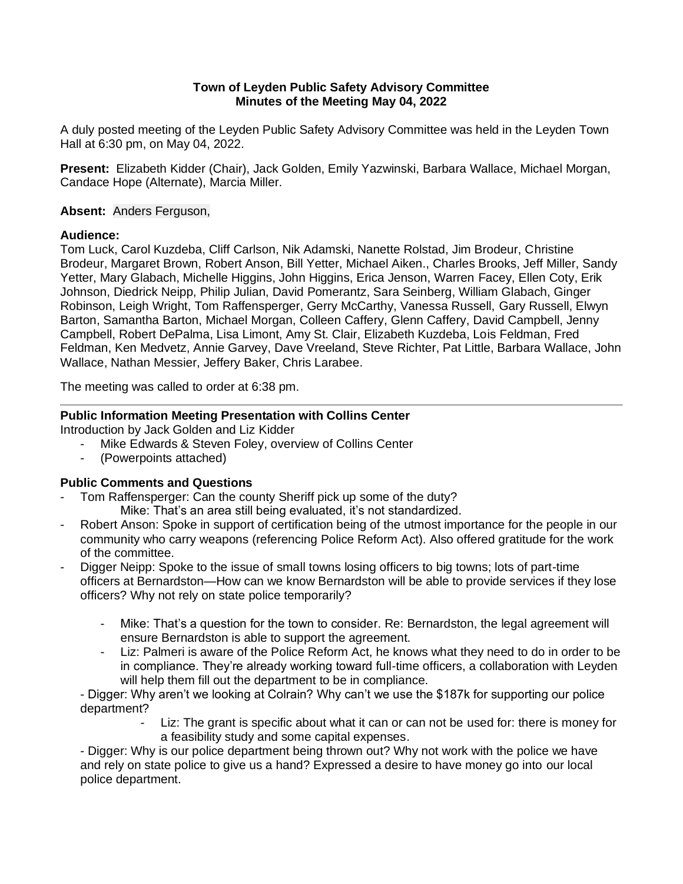# **Town of Leyden Public Safety Advisory Committee Minutes of the Meeting May 04, 2022**

A duly posted meeting of the Leyden Public Safety Advisory Committee was held in the Leyden Town Hall at 6:30 pm, on May 04, 2022.

**Present:** Elizabeth Kidder (Chair), Jack Golden, Emily Yazwinski, Barbara Wallace, Michael Morgan, Candace Hope (Alternate), Marcia Miller.

# **Absent:** Anders Ferguson,

# **Audience:**

Tom Luck, Carol Kuzdeba, Cliff Carlson, Nik Adamski, Nanette Rolstad, Jim Brodeur, Christine Brodeur, Margaret Brown, Robert Anson, Bill Yetter, Michael Aiken., Charles Brooks, Jeff Miller, Sandy Yetter, Mary Glabach, Michelle Higgins, John Higgins, Erica Jenson, Warren Facey, Ellen Coty, Erik Johnson, Diedrick Neipp, Philip Julian, David Pomerantz, Sara Seinberg, William Glabach, Ginger Robinson, Leigh Wright, Tom Raffensperger, Gerry McCarthy, Vanessa Russell, Gary Russell, Elwyn Barton, Samantha Barton, Michael Morgan, Colleen Caffery, Glenn Caffery, David Campbell, Jenny Campbell, Robert DePalma, Lisa Limont, Amy St. Clair, Elizabeth Kuzdeba, Lois Feldman, Fred Feldman, Ken Medvetz, Annie Garvey, Dave Vreeland, Steve Richter, Pat Little, Barbara Wallace, John Wallace, Nathan Messier, Jeffery Baker, Chris Larabee.

The meeting was called to order at 6:38 pm.

# **Public Information Meeting Presentation with Collins Center**

Introduction by Jack Golden and Liz Kidder

- Mike Edwards & Steven Foley, overview of Collins Center
- (Powerpoints attached)

# **Public Comments and Questions**

- Tom Raffensperger: Can the county Sheriff pick up some of the duty?
	- Mike: That's an area still being evaluated, it's not standardized.
- Robert Anson: Spoke in support of certification being of the utmost importance for the people in our community who carry weapons (referencing Police Reform Act). Also offered gratitude for the work of the committee.
- Digger Neipp: Spoke to the issue of small towns losing officers to big towns; lots of part-time officers at Bernardston—How can we know Bernardston will be able to provide services if they lose officers? Why not rely on state police temporarily?
	- Mike: That's a question for the town to consider. Re: Bernardston, the legal agreement will ensure Bernardston is able to support the agreement.
	- Liz: Palmeri is aware of the Police Reform Act, he knows what they need to do in order to be in compliance. They're already working toward full-time officers, a collaboration with Leyden will help them fill out the department to be in compliance.

- Digger: Why aren't we looking at Colrain? Why can't we use the \$187k for supporting our police department?

> Liz: The grant is specific about what it can or can not be used for: there is money for a feasibility study and some capital expenses.

- Digger: Why is our police department being thrown out? Why not work with the police we have and rely on state police to give us a hand? Expressed a desire to have money go into our local police department.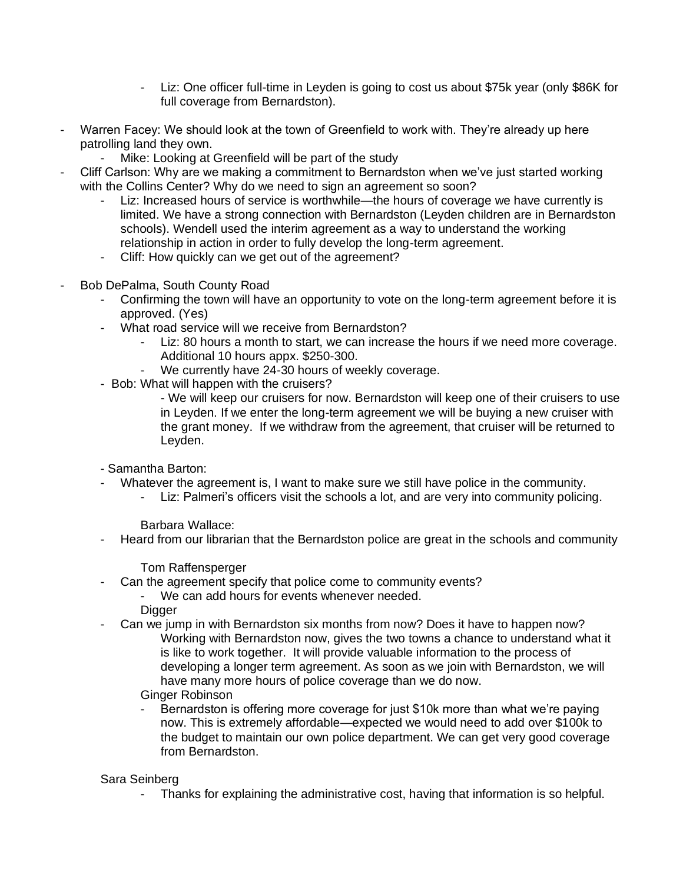- Liz: One officer full-time in Leyden is going to cost us about \$75k year (only \$86K for full coverage from Bernardston).
- Warren Facey: We should look at the town of Greenfield to work with. They're already up here patrolling land they own.
	- Mike: Looking at Greenfield will be part of the study
- Cliff Carlson: Why are we making a commitment to Bernardston when we've just started working with the Collins Center? Why do we need to sign an agreement so soon?
	- Liz: Increased hours of service is worthwhile—the hours of coverage we have currently is limited. We have a strong connection with Bernardston (Leyden children are in Bernardston schools). Wendell used the interim agreement as a way to understand the working relationship in action in order to fully develop the long-term agreement.
	- Cliff: How quickly can we get out of the agreement?
- Bob DePalma, South County Road
	- Confirming the town will have an opportunity to vote on the long-term agreement before it is approved. (Yes)
	- What road service will we receive from Bernardston?
		- Liz: 80 hours a month to start, we can increase the hours if we need more coverage. Additional 10 hours appx. \$250-300.
		- We currently have 24-30 hours of weekly coverage.
	- Bob: What will happen with the cruisers?
		- We will keep our cruisers for now. Bernardston will keep one of their cruisers to use in Leyden. If we enter the long-term agreement we will be buying a new cruiser with the grant money. If we withdraw from the agreement, that cruiser will be returned to Leyden.
	- Samantha Barton:
	- Whatever the agreement is, I want to make sure we still have police in the community.
		- Liz: Palmeri's officers visit the schools a lot, and are very into community policing.

Barbara Wallace:

- Heard from our librarian that the Bernardston police are great in the schools and community

Tom Raffensperger

- Can the agreement specify that police come to community events?
	- We can add hours for events whenever needed.
	- Digger
- Can we jump in with Bernardston six months from now? Does it have to happen now?
	- Working with Bernardston now, gives the two towns a chance to understand what it is like to work together. It will provide valuable information to the process of developing a longer term agreement. As soon as we join with Bernardston, we will have many more hours of police coverage than we do now.

Ginger Robinson

Bernardston is offering more coverage for just \$10k more than what we're paying now. This is extremely affordable—expected we would need to add over \$100k to the budget to maintain our own police department. We can get very good coverage from Bernardston.

Sara Seinberg

- Thanks for explaining the administrative cost, having that information is so helpful.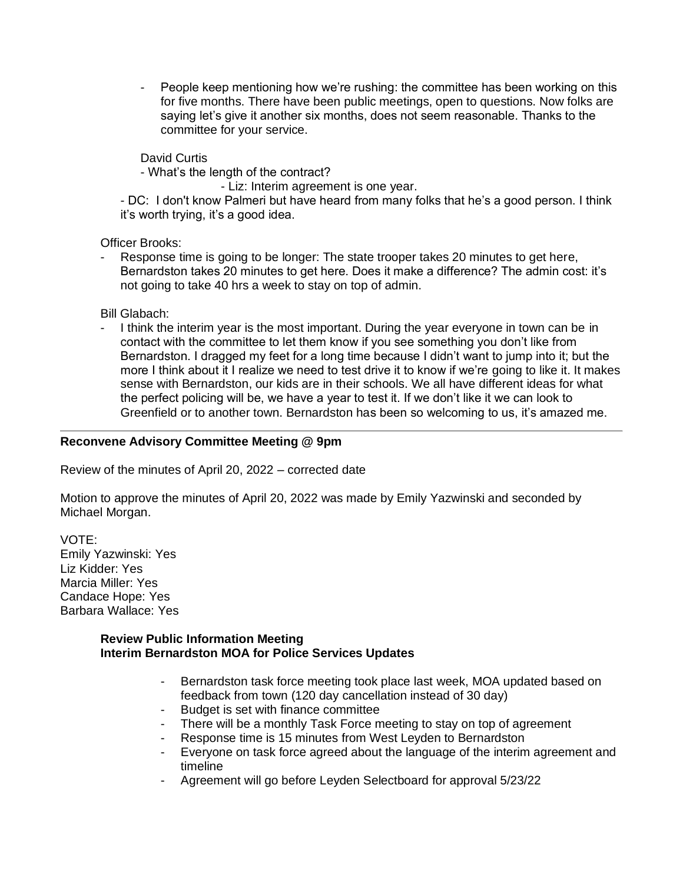- People keep mentioning how we're rushing: the committee has been working on this for five months. There have been public meetings, open to questions. Now folks are saying let's give it another six months, does not seem reasonable. Thanks to the committee for your service.

David Curtis

- What's the length of the contract?

- Liz: Interim agreement is one year.

- DC: I don't know Palmeri but have heard from many folks that he's a good person. I think it's worth trying, it's a good idea.

Officer Brooks:

Response time is going to be longer: The state trooper takes 20 minutes to get here, Bernardston takes 20 minutes to get here. Does it make a difference? The admin cost: it's not going to take 40 hrs a week to stay on top of admin.

Bill Glabach:

I think the interim year is the most important. During the year everyone in town can be in contact with the committee to let them know if you see something you don't like from Bernardston. I dragged my feet for a long time because I didn't want to jump into it; but the more I think about it I realize we need to test drive it to know if we're going to like it. It makes sense with Bernardston, our kids are in their schools. We all have different ideas for what the perfect policing will be, we have a year to test it. If we don't like it we can look to Greenfield or to another town. Bernardston has been so welcoming to us, it's amazed me.

# **Reconvene Advisory Committee Meeting @ 9pm**

Review of the minutes of April 20, 2022 – corrected date

Motion to approve the minutes of April 20, 2022 was made by Emily Yazwinski and seconded by Michael Morgan.

VOTE: Emily Yazwinski: Yes Liz Kidder: Yes Marcia Miller: Yes Candace Hope: Yes Barbara Wallace: Yes

#### **Review Public Information Meeting Interim Bernardston MOA for Police Services Updates**

- Bernardston task force meeting took place last week, MOA updated based on feedback from town (120 day cancellation instead of 30 day)
- Budget is set with finance committee
- There will be a monthly Task Force meeting to stay on top of agreement
- Response time is 15 minutes from West Leyden to Bernardston
- Everyone on task force agreed about the language of the interim agreement and timeline
- Agreement will go before Leyden Selectboard for approval 5/23/22